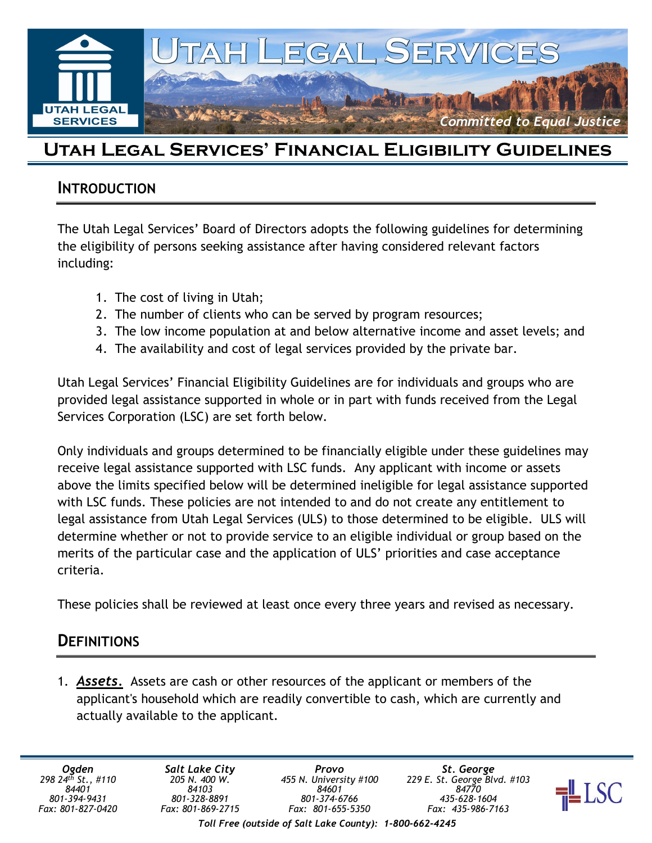

# Utah Legal Services' Financial Eligibility Guidelines

#### INTRODUCTION

The Utah Legal Services' Board of Directors adopts the following guidelines for determining the eligibility of persons seeking assistance after having considered relevant factors including:

- 1. The cost of living in Utah;
- 2. The number of clients who can be served by program resources;
- 3. The low income population at and below alternative income and asset levels; and
- 4. The availability and cost of legal services provided by the private bar.

Utah Legal Services' Financial Eligibility Guidelines are for individuals and groups who are provided legal assistance supported in whole or in part with funds received from the Legal Services Corporation (LSC) are set forth below.

Only individuals and groups determined to be financially eligible under these guidelines may receive legal assistance supported with LSC funds. Any applicant with income or assets above the limits specified below will be determined ineligible for legal assistance supported with LSC funds. These policies are not intended to and do not create any entitlement to legal assistance from Utah Legal Services (ULS) to those determined to be eligible. ULS will determine whether or not to provide service to an eligible individual or group based on the merits of the particular case and the application of ULS' priorities and case acceptance criteria.

These policies shall be reviewed at least once every three years and revised as necessary.

#### **DEFINITIONS**

1. Assets. Assets are cash or other resources of the applicant or members of the applicant's household which are readily convertible to cash, which are currently and actually available to the applicant.

Ogden 298 24th St., #110 84401 801-394-9431 Fax: 801-827-0420

Toll Free (outside of Salt Lake County): 1-800-662-4245

St. George 229 E. St. George Blvd. #103 84770 435-628-1604 Fax: 435-986-7163

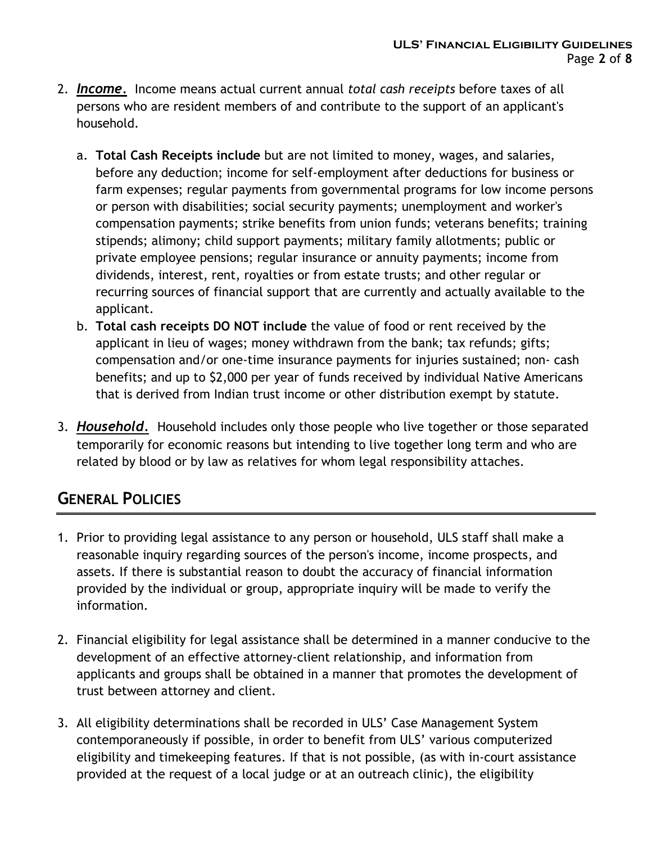- 2. **Income.** Income means actual current annual total cash receipts before taxes of all persons who are resident members of and contribute to the support of an applicant's household.
	- a. Total Cash Receipts include but are not limited to money, wages, and salaries, before any deduction; income for self-employment after deductions for business or farm expenses; regular payments from governmental programs for low income persons or person with disabilities; social security payments; unemployment and worker's compensation payments; strike benefits from union funds; veterans benefits; training stipends; alimony; child support payments; military family allotments; public or private employee pensions; regular insurance or annuity payments; income from dividends, interest, rent, royalties or from estate trusts; and other regular or recurring sources of financial support that are currently and actually available to the applicant.
	- b. Total cash receipts DO NOT include the value of food or rent received by the applicant in lieu of wages; money withdrawn from the bank; tax refunds; gifts; compensation and/or one-time insurance payments for injuries sustained; non- cash benefits; and up to \$2,000 per year of funds received by individual Native Americans that is derived from Indian trust income or other distribution exempt by statute.
- 3. **Household.** Household includes only those people who live together or those separated temporarily for economic reasons but intending to live together long term and who are related by blood or by law as relatives for whom legal responsibility attaches.

# GENERAL POLICIES

- 1. Prior to providing legal assistance to any person or household, ULS staff shall make a reasonable inquiry regarding sources of the person's income, income prospects, and assets. If there is substantial reason to doubt the accuracy of financial information provided by the individual or group, appropriate inquiry will be made to verify the information.
- 2. Financial eligibility for legal assistance shall be determined in a manner conducive to the development of an effective attorney-client relationship, and information from applicants and groups shall be obtained in a manner that promotes the development of trust between attorney and client.
- 3. All eligibility determinations shall be recorded in ULS' Case Management System contemporaneously if possible, in order to benefit from ULS' various computerized eligibility and timekeeping features. If that is not possible, (as with in-court assistance provided at the request of a local judge or at an outreach clinic), the eligibility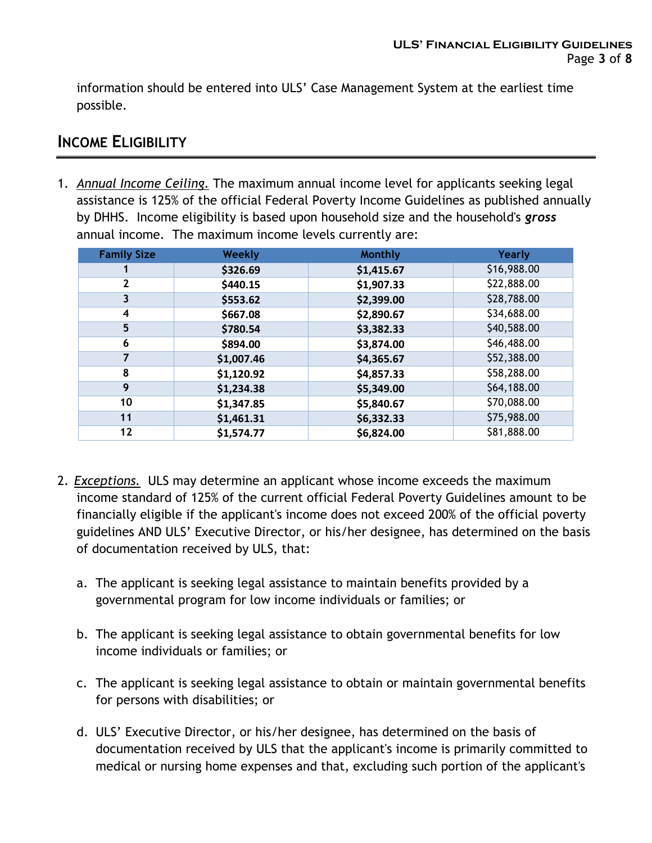information should be entered into ULS' Case Management System at the earliest time possible.

#### INCOME ELIGIBILITY

1. Annual Income Ceiling. The maximum annual income level for applicants seeking legal assistance is 125% of the official Federal Poverty Income Guidelines as published annually by DHHS. Income eligibility is based upon household size and the household's gross annual income. The maximum income levels currently are:

| <b>Family Size</b> | <b>Weekly</b> | <b>Monthly</b> | Yearly      |
|--------------------|---------------|----------------|-------------|
|                    | \$326.69      | \$1,415.67     | \$16,988.00 |
| 2                  | \$440.15      | \$1,907.33     | \$22,888.00 |
| 3                  | \$553.62      | \$2,399.00     | \$28,788.00 |
| 4                  | \$667.08      | \$2,890.67     | \$34,688.00 |
| 5                  | \$780.54      | \$3,382.33     | \$40,588.00 |
| 6                  | \$894.00      | \$3,874.00     | \$46,488.00 |
| 7                  | \$1,007.46    | \$4,365.67     | \$52,388.00 |
| 8                  | \$1,120.92    | \$4,857.33     | \$58,288.00 |
| 9                  | \$1,234.38    | \$5,349.00     | \$64,188.00 |
| 10                 | \$1,347.85    | \$5,840.67     | \$70,088.00 |
| 11                 | \$1,461.31    | \$6,332.33     | \$75,988.00 |
| 12                 | \$1,574.77    | \$6,824.00     | \$81,888.00 |

- 2. Exceptions. ULS may determine an applicant whose income exceeds the maximum income standard of 125% of the current official Federal Poverty Guidelines amount to be financially eligible if the applicant's income does not exceed 200% of the official poverty guidelines AND ULS' Executive Director, or his/her designee, has determined on the basis of documentation received by ULS, that:
	- a. The applicant is seeking legal assistance to maintain benefits provided by a governmental program for low income individuals or families; or
	- b. The applicant is seeking legal assistance to obtain governmental benefits for low income individuals or families; or
	- c. The applicant is seeking legal assistance to obtain or maintain governmental benefits for persons with disabilities; or
	- d. ULS' Executive Director, or his/her designee, has determined on the basis of documentation received by ULS that the applicant's income is primarily committed to medical or nursing home expenses and that, excluding such portion of the applicant's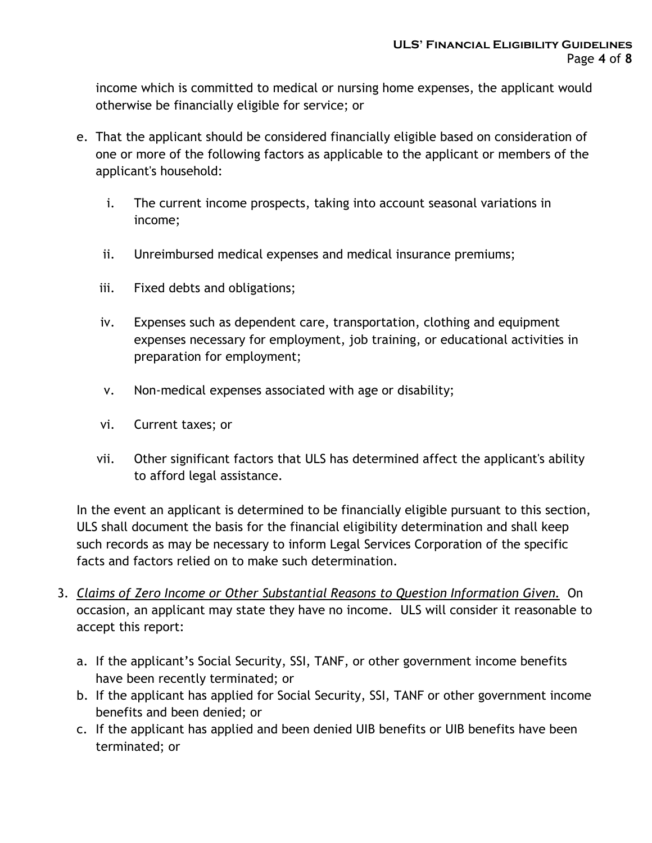income which is committed to medical or nursing home expenses, the applicant would otherwise be financially eligible for service; or

- e. That the applicant should be considered financially eligible based on consideration of one or more of the following factors as applicable to the applicant or members of the applicant's household:
	- i. The current income prospects, taking into account seasonal variations in income;
	- ii. Unreimbursed medical expenses and medical insurance premiums;
	- iii. Fixed debts and obligations;
	- iv. Expenses such as dependent care, transportation, clothing and equipment expenses necessary for employment, job training, or educational activities in preparation for employment;
	- v. Non-medical expenses associated with age or disability;
	- vi. Current taxes; or
	- vii. Other significant factors that ULS has determined affect the applicant's ability to afford legal assistance.

In the event an applicant is determined to be financially eligible pursuant to this section, ULS shall document the basis for the financial eligibility determination and shall keep such records as may be necessary to inform Legal Services Corporation of the specific facts and factors relied on to make such determination.

- 3. Claims of Zero Income or Other Substantial Reasons to Question Information Given. On occasion, an applicant may state they have no income. ULS will consider it reasonable to accept this report:
	- a. If the applicant's Social Security, SSI, TANF, or other government income benefits have been recently terminated; or
	- b. If the applicant has applied for Social Security, SSI, TANF or other government income benefits and been denied; or
	- c. If the applicant has applied and been denied UIB benefits or UIB benefits have been terminated; or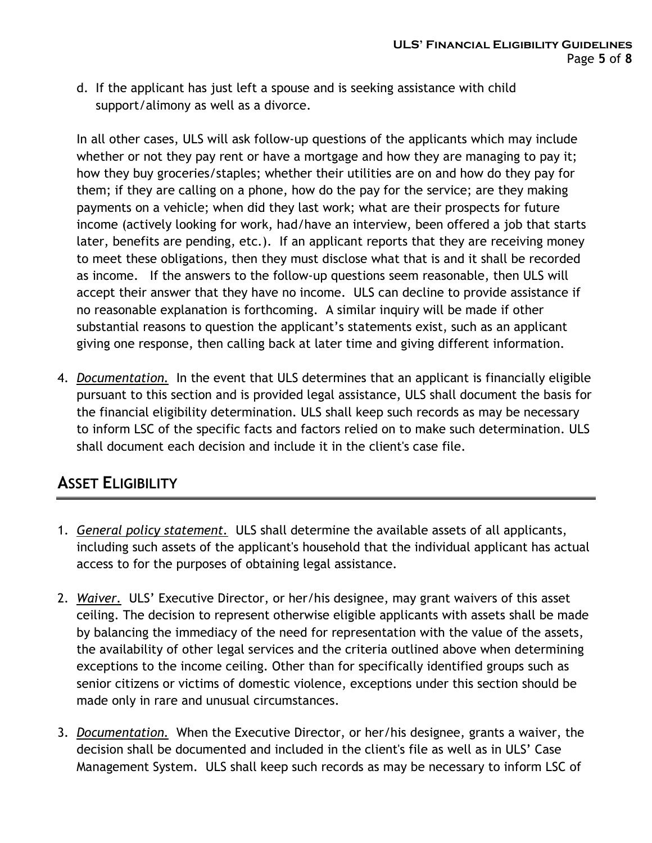d. If the applicant has just left a spouse and is seeking assistance with child support/alimony as well as a divorce.

In all other cases, ULS will ask follow-up questions of the applicants which may include whether or not they pay rent or have a mortgage and how they are managing to pay it; how they buy groceries/staples; whether their utilities are on and how do they pay for them; if they are calling on a phone, how do the pay for the service; are they making payments on a vehicle; when did they last work; what are their prospects for future income (actively looking for work, had/have an interview, been offered a job that starts later, benefits are pending, etc.). If an applicant reports that they are receiving money to meet these obligations, then they must disclose what that is and it shall be recorded as income. If the answers to the follow-up questions seem reasonable, then ULS will accept their answer that they have no income. ULS can decline to provide assistance if no reasonable explanation is forthcoming. A similar inquiry will be made if other substantial reasons to question the applicant's statements exist, such as an applicant giving one response, then calling back at later time and giving different information.

4. Documentation. In the event that ULS determines that an applicant is financially eligible pursuant to this section and is provided legal assistance, ULS shall document the basis for the financial eligibility determination. ULS shall keep such records as may be necessary to inform LSC of the specific facts and factors relied on to make such determination. ULS shall document each decision and include it in the client's case file.

### **ASSET ELIGIBILITY**

- 1. General policy statement. ULS shall determine the available assets of all applicants, including such assets of the applicant's household that the individual applicant has actual access to for the purposes of obtaining legal assistance.
- 2. Waiver. ULS' Executive Director, or her/his designee, may grant waivers of this asset ceiling. The decision to represent otherwise eligible applicants with assets shall be made by balancing the immediacy of the need for representation with the value of the assets, the availability of other legal services and the criteria outlined above when determining exceptions to the income ceiling. Other than for specifically identified groups such as senior citizens or victims of domestic violence, exceptions under this section should be made only in rare and unusual circumstances.
- 3. Documentation. When the Executive Director, or her/his designee, grants a waiver, the decision shall be documented and included in the client's file as well as in ULS' Case Management System. ULS shall keep such records as may be necessary to inform LSC of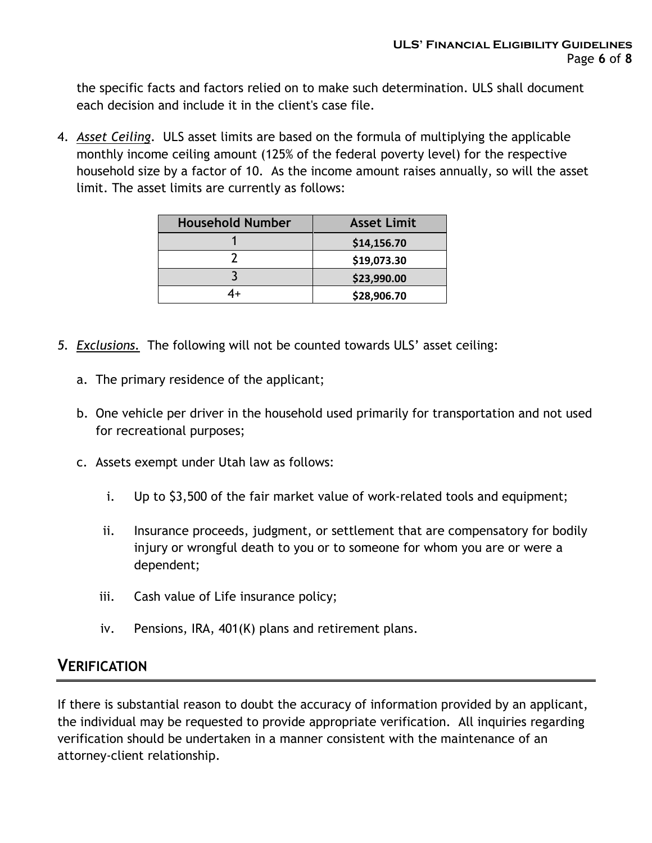the specific facts and factors relied on to make such determination. ULS shall document each decision and include it in the client's case file.

4. Asset Ceiling. ULS asset limits are based on the formula of multiplying the applicable monthly income ceiling amount (125% of the federal poverty level) for the respective household size by a factor of 10. As the income amount raises annually, so will the asset limit. The asset limits are currently as follows:

| <b>Household Number</b> | <b>Asset Limit</b> |  |
|-------------------------|--------------------|--|
|                         | \$14,156.70        |  |
|                         | \$19,073.30        |  |
|                         | \$23,990.00        |  |
|                         | \$28,906.70        |  |

- 5. Exclusions. The following will not be counted towards ULS' asset ceiling:
	- a. The primary residence of the applicant;
	- b. One vehicle per driver in the household used primarily for transportation and not used for recreational purposes;
	- c. Assets exempt under Utah law as follows:
		- i. Up to \$3,500 of the fair market value of work-related tools and equipment;
		- ii. Insurance proceeds, judgment, or settlement that are compensatory for bodily injury or wrongful death to you or to someone for whom you are or were a dependent;
		- iii. Cash value of Life insurance policy;
		- iv. Pensions, IRA, 401(K) plans and retirement plans.

### **VERIFICATION**

If there is substantial reason to doubt the accuracy of information provided by an applicant, the individual may be requested to provide appropriate verification. All inquiries regarding verification should be undertaken in a manner consistent with the maintenance of an attorney-client relationship.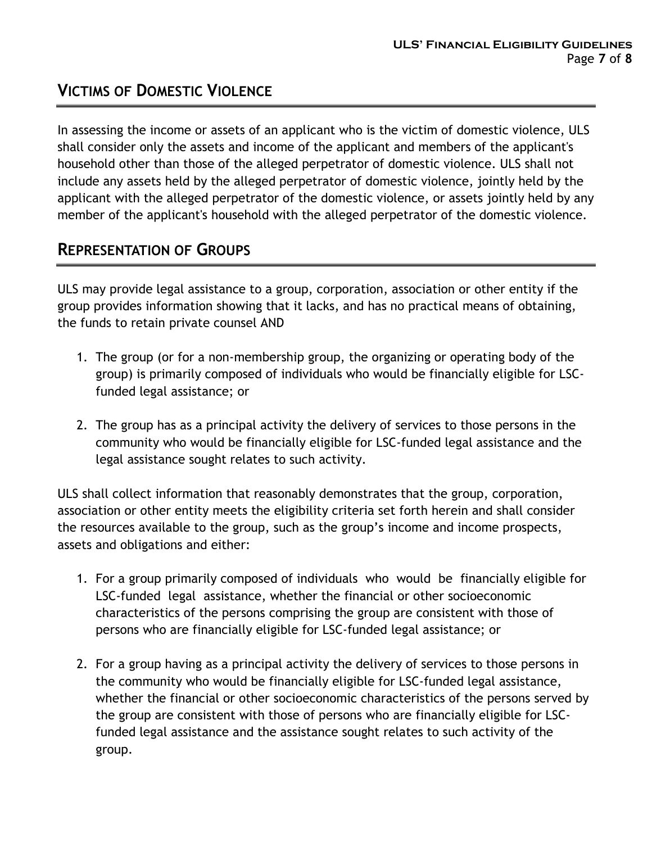## VICTIMS OF DOMESTIC VIOLENCE

In assessing the income or assets of an applicant who is the victim of domestic violence, ULS shall consider only the assets and income of the applicant and members of the applicant's household other than those of the alleged perpetrator of domestic violence. ULS shall not include any assets held by the alleged perpetrator of domestic violence, jointly held by the applicant with the alleged perpetrator of the domestic violence, or assets jointly held by any member of the applicant's household with the alleged perpetrator of the domestic violence.

## REPRESENTATION OF GROUPS

ULS may provide legal assistance to a group, corporation, association or other entity if the group provides information showing that it lacks, and has no practical means of obtaining, the funds to retain private counsel AND

- 1. The group (or for a non-membership group, the organizing or operating body of the group) is primarily composed of individuals who would be financially eligible for LSCfunded legal assistance; or
- 2. The group has as a principal activity the delivery of services to those persons in the community who would be financially eligible for LSC-funded legal assistance and the legal assistance sought relates to such activity.

ULS shall collect information that reasonably demonstrates that the group, corporation, association or other entity meets the eligibility criteria set forth herein and shall consider the resources available to the group, such as the group's income and income prospects, assets and obligations and either:

- 1. For a group primarily composed of individuals who would be financially eligible for LSC-funded legal assistance, whether the financial or other socioeconomic characteristics of the persons comprising the group are consistent with those of persons who are financially eligible for LSC-funded legal assistance; or
- 2. For a group having as a principal activity the delivery of services to those persons in the community who would be financially eligible for LSC-funded legal assistance, whether the financial or other socioeconomic characteristics of the persons served by the group are consistent with those of persons who are financially eligible for LSCfunded legal assistance and the assistance sought relates to such activity of the group.